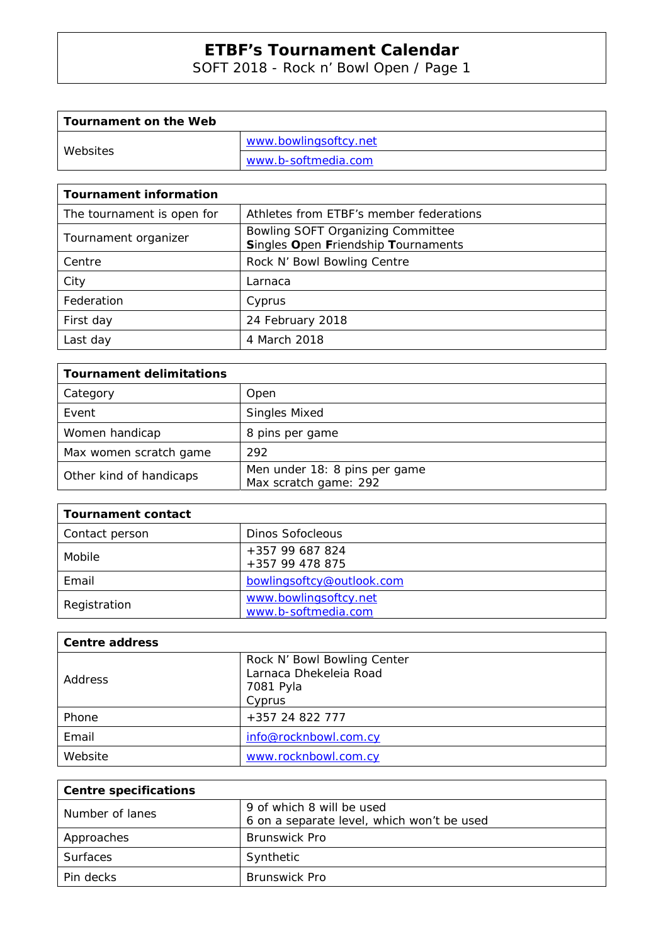SOFT 2018 - Rock n' Bowl Open / Page 1

| Tournament on the Web |                       |
|-----------------------|-----------------------|
| Websites              | www.bowlingsoftcy.net |
|                       | www.b-softmedia.com   |

| <b>Tournament information</b> |                                                                          |
|-------------------------------|--------------------------------------------------------------------------|
| The tournament is open for    | Athletes from ETBF's member federations                                  |
| Tournament organizer          | Bowling SOFT Organizing Committee<br>Singles Open Friendship Tournaments |
| Centre                        | Rock N' Bowl Bowling Centre                                              |
| City                          | Larnaca                                                                  |
| Federation                    | Cyprus                                                                   |
| First day                     | 24 February 2018                                                         |
| Last day                      | 4 March 2018                                                             |

| <b>Tournament delimitations</b> |                                                        |  |  |  |  |  |
|---------------------------------|--------------------------------------------------------|--|--|--|--|--|
| Category                        | Open                                                   |  |  |  |  |  |
| Event                           | <b>Singles Mixed</b>                                   |  |  |  |  |  |
| Women handicap                  | 8 pins per game                                        |  |  |  |  |  |
| Max women scratch game          | 292                                                    |  |  |  |  |  |
| Other kind of handicaps         | Men under 18: 8 pins per game<br>Max scratch game: 292 |  |  |  |  |  |

| <b>Tournament contact</b> |                                              |
|---------------------------|----------------------------------------------|
| Contact person            | <b>Dinos Sofocleous</b>                      |
| Mobile                    | +357 99 687 824<br>+357 99 478 875           |
| Email                     | bowlingsoftcy@outlook.com                    |
| Registration              | www.bowlingsoftcy.net<br>www.b-softmedia.com |

| <b>Centre address</b> |                                                                              |
|-----------------------|------------------------------------------------------------------------------|
| <b>Address</b>        | Rock N' Bowl Bowling Center<br>Larnaca Dhekeleia Road<br>7081 Pyla<br>Cyprus |
| Phone                 | +357 24 822 777                                                              |
| Email                 | info@rocknbowl.com.cy                                                        |
| Website               | www.rocknbowl.com.cy                                                         |

| <b>Centre specifications</b> |                                            |
|------------------------------|--------------------------------------------|
| Number of lanes              | 9 of which 8 will be used                  |
|                              | 6 on a separate level, which won't be used |
| Approaches                   | <b>Brunswick Pro</b>                       |
| <b>Surfaces</b>              | Synthetic                                  |
| Pin decks                    | <b>Brunswick Pro</b>                       |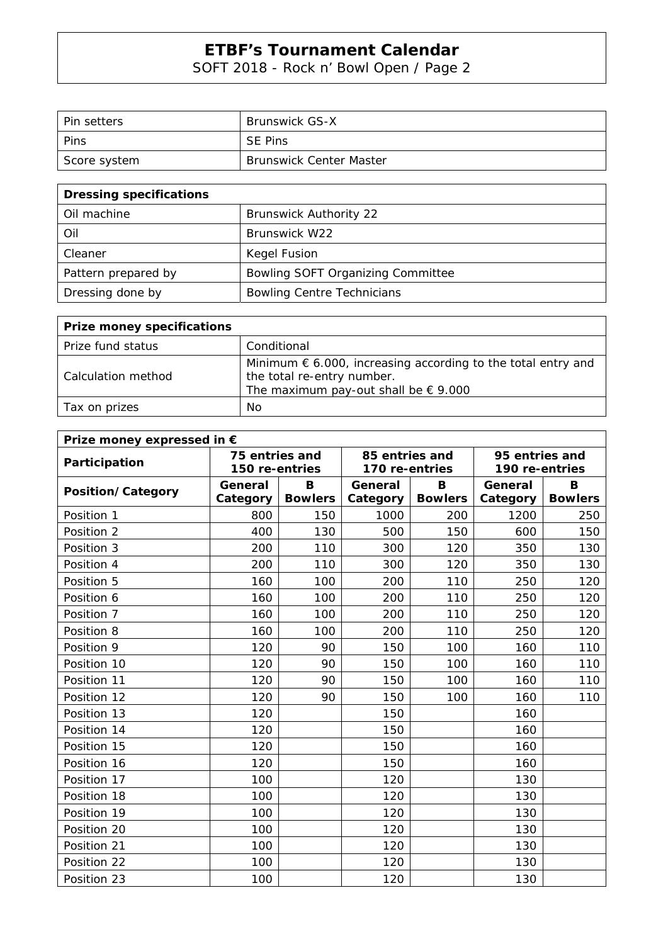SOFT 2018 - Rock n' Bowl Open / Page 2

| l Pin setters | <b>Brunswick GS-X</b>          |
|---------------|--------------------------------|
| Pins          | <b>SE Pins</b>                 |
| Score system  | <b>Brunswick Center Master</b> |

| <b>Dressing specifications</b> |                                   |  |  |  |  |  |  |
|--------------------------------|-----------------------------------|--|--|--|--|--|--|
| Oil machine                    | <b>Brunswick Authority 22</b>     |  |  |  |  |  |  |
| Oil                            | Brunswick W22                     |  |  |  |  |  |  |
| Cleaner                        | Kegel Fusion                      |  |  |  |  |  |  |
| Pattern prepared by            | Bowling SOFT Organizing Committee |  |  |  |  |  |  |
| Dressing done by               | <b>Bowling Centre Technicians</b> |  |  |  |  |  |  |

| <b>Prize money specifications</b> |                                                                                                                                                      |
|-----------------------------------|------------------------------------------------------------------------------------------------------------------------------------------------------|
| Prize fund status                 | Conditional                                                                                                                                          |
| Calculation method                | Minimum $\epsilon$ 6.000, increasing according to the total entry and<br>the total re-entry number.<br>The maximum pay-out shall be $\epsilon$ 9.000 |
| Tax on prizes                     | No.                                                                                                                                                  |

| Prize money expressed in € |                |                |                |                |                                  |                |  |  |  |  |
|----------------------------|----------------|----------------|----------------|----------------|----------------------------------|----------------|--|--|--|--|
| Participation              | 75 entries and |                | 85 entries and |                | 95 entries and<br>190 re-entries |                |  |  |  |  |
|                            | 150 re-entries |                | 170 re-entries |                |                                  |                |  |  |  |  |
| Position/Category          | General        | B              | General        | B              | General                          | B              |  |  |  |  |
|                            | Category       | <b>Bowlers</b> | Category       | <b>Bowlers</b> | Category                         | <b>Bowlers</b> |  |  |  |  |
| Position 1                 | 800            | 150            | 1000           | 200            | 1200                             | 250            |  |  |  |  |
| Position 2                 | 400            | 130            | 500            | 150            | 600                              | 150            |  |  |  |  |
| Position 3                 | 200            | 110            | 300            | 120            | 350                              | 130            |  |  |  |  |
| Position 4                 | 200            | 110            | 300            | 120            | 350                              | 130            |  |  |  |  |
| Position 5                 | 160            | 100            | 200            | 110            | 250                              | 120            |  |  |  |  |
| Position 6                 | 160            | 100            | 200            | 110            | 250                              | 120            |  |  |  |  |
| Position 7                 | 160            | 100            | 200            | 110            | 250                              | 120            |  |  |  |  |
| Position 8                 | 160            | 100            | 200            | 110            | 250                              | 120            |  |  |  |  |
| Position 9                 | 120            | 90             | 150            | 100            | 160                              | 110            |  |  |  |  |
| Position 10                | 120            | 90             | 150            | 100            | 160                              | 110            |  |  |  |  |
| Position 11                | 120            | 90             | 150            | 100            | 160                              | 110            |  |  |  |  |
| Position 12                | 120            | 90             | 150            | 100            | 160                              | 110            |  |  |  |  |
| Position 13                | 120            |                | 150            |                | 160                              |                |  |  |  |  |
| Position 14                | 120            |                | 150            |                | 160                              |                |  |  |  |  |
| Position 15                | 120            |                | 150            |                | 160                              |                |  |  |  |  |
| Position 16                | 120            |                | 150            |                | 160                              |                |  |  |  |  |
| Position 17                | 100            |                | 120            |                | 130                              |                |  |  |  |  |
| Position 18                | 100            |                | 120            |                | 130                              |                |  |  |  |  |
| Position 19                | 100            |                | 120            |                | 130                              |                |  |  |  |  |
| Position 20                | 100            |                | 120            |                | 130                              |                |  |  |  |  |
| Position 21                | 100            |                | 120            |                | 130                              |                |  |  |  |  |
| Position 22                | 100            |                | 120            |                | 130                              |                |  |  |  |  |
| Position 23                | 100            |                | 120            |                | 130                              |                |  |  |  |  |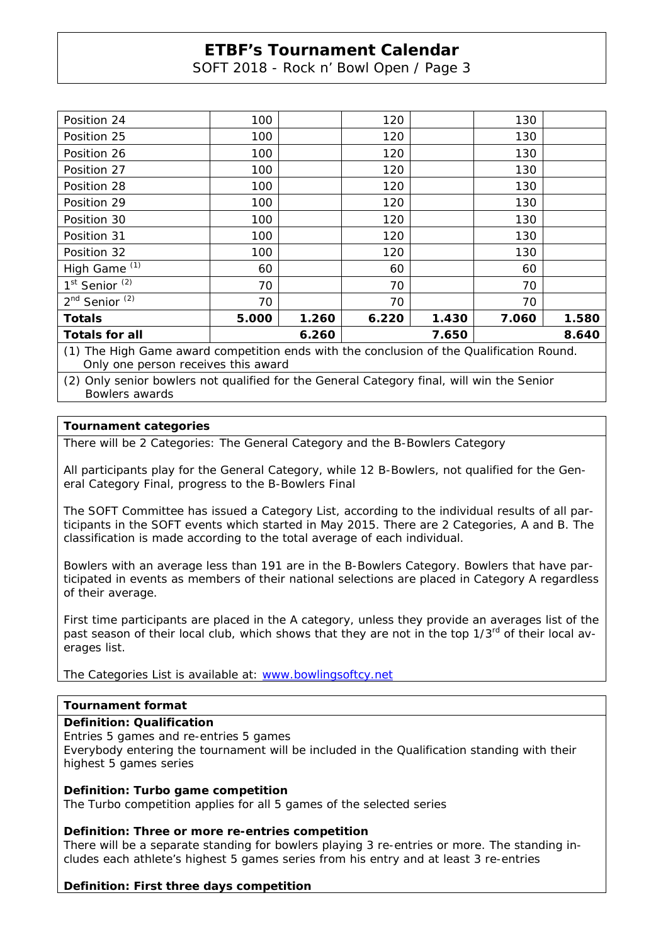SOFT 2018 - Rock n' Bowl Open / Page 3

| Position 24                                                                              | 100                     |       | 120   |       | 130   |       |  |  |
|------------------------------------------------------------------------------------------|-------------------------|-------|-------|-------|-------|-------|--|--|
| Position 25                                                                              | 100                     |       | 120   |       | 130   |       |  |  |
| Position 26                                                                              | 100                     |       | 120   |       | 130   |       |  |  |
| Position 27                                                                              | 100                     |       | 120   |       | 130   |       |  |  |
| Position 28                                                                              | 100                     |       | 120   |       | 130   |       |  |  |
| Position 29                                                                              | 100                     |       | 120   |       | 130   |       |  |  |
| Position 30                                                                              | 100                     |       | 120   |       | 130   |       |  |  |
| Position 31                                                                              | 100                     |       | 120   |       | 130   |       |  |  |
| Position 32                                                                              | 100                     |       | 120   |       | 130   |       |  |  |
| High Game <sup>(1)</sup>                                                                 | 60                      |       | 60    |       | 60    |       |  |  |
| 1 <sup>st</sup> Senior <sup>(2)</sup>                                                    | 70                      |       | 70    |       | 70    |       |  |  |
| 2 <sup>nd</sup> Senior <sup>(2)</sup>                                                    | 70                      |       | 70    |       | 70    |       |  |  |
| <b>Totals</b>                                                                            | 5.000                   | 1.260 | 6.220 | 1.430 | 7.060 | 1.580 |  |  |
| <b>Totals for all</b>                                                                    | 8.640<br>6.260<br>7.650 |       |       |       |       |       |  |  |
| (1) The High Game award competition ends with the conclusion of the Qualification Round. |                         |       |       |       |       |       |  |  |

Only one person receives this award

(2) Only senior bowlers not qualified for the General Category final, will win the Senior Bowlers awards

## **Tournament categories**

There will be 2 Categories: The General Category and the B-Bowlers Category

All participants play for the General Category, while 12 B-Bowlers, not qualified for the General Category Final, progress to the B-Bowlers Final

The SOFT Committee has issued a Category List, according to the individual results of all participants in the SOFT events which started in May 2015. There are 2 Categories, A and B. The classification is made according to the total average of each individual.

Bowlers with an average less than 191 are in the B-Bowlers Category. Bowlers that have participated in events as members of their national selections are placed in Category A regardless of their average.

First time participants are placed in the A category, unless they provide an averages list of the past season of their local club, which shows that they are not in the top 1/3<sup>rd</sup> of their local averages list.

The Categories List is available at: www.bowlingsoftcy.net

### **Tournament format**

#### **Definition: Qualification**

Entries 5 games and re-entries 5 games

Everybody entering the tournament will be included in the Qualification standing with their highest 5 games series

### **Definition: Turbo game competition**

The Turbo competition applies for all 5 games of the selected series

#### **Definition: Three or more re-entries competition**

There will be a separate standing for bowlers playing 3 re-entries or more. The standing includes each athlete's highest 5 games series from his entry and at least 3 re-entries

#### **Definition: First three days competition**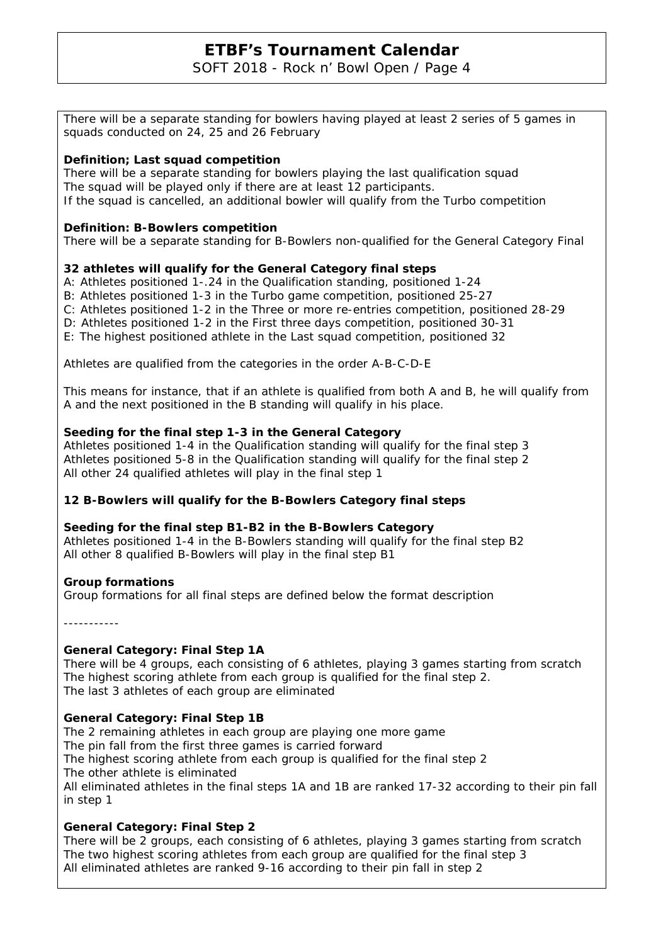SOFT 2018 - Rock n' Bowl Open / Page 4

There will be a separate standing for bowlers having played at least 2 series of 5 games in squads conducted on 24, 25 and 26 February

## **Definition; Last squad competition**

There will be a separate standing for bowlers playing the last qualification squad The squad will be played only if there are at least 12 participants. If the squad is cancelled, an additional bowler will qualify from the Turbo competition

## **Definition: B-Bowlers competition**

There will be a separate standing for B-Bowlers non-qualified for the General Category Final

## **32 athletes will qualify for the General Category final steps**

A: Athletes positioned 1-.24 in the Qualification standing, positioned 1-24

- B: Athletes positioned 1-3 in the Turbo game competition, positioned 25-27
- C: Athletes positioned 1-2 in the Three or more re-entries competition, positioned 28-29
- D: Athletes positioned 1-2 in the First three days competition, positioned 30-31
- E: The highest positioned athlete in the Last squad competition, positioned 32

Athletes are qualified from the categories in the order A-B-C-D-E

This means for instance, that if an athlete is qualified from both A and B, he will qualify from A and the next positioned in the B standing will qualify in his place.

## **Seeding for the final step 1-3 in the General Category**

Athletes positioned 1-4 in the Qualification standing will qualify for the final step 3 Athletes positioned 5-8 in the Qualification standing will qualify for the final step 2 All other 24 qualified athletes will play in the final step 1

## **12 B-Bowlers will qualify for the B-Bowlers Category final steps**

#### **Seeding for the final step B1-B2 in the B-Bowlers Category**

Athletes positioned 1-4 in the B-Bowlers standing will qualify for the final step B2 All other 8 qualified B-Bowlers will play in the final step B1

#### **Group formations**

Group formations for all final steps are defined below the format description

-----------

#### **General Category: Final Step 1A**

There will be 4 groups, each consisting of 6 athletes, playing 3 games starting from scratch The highest scoring athlete from each group is qualified for the final step 2. The last 3 athletes of each group are eliminated

## **General Category: Final Step 1B**

The 2 remaining athletes in each group are playing one more game The pin fall from the first three games is carried forward The highest scoring athlete from each group is qualified for the final step 2 The other athlete is eliminated All eliminated athletes in the final steps 1A and 1B are ranked 17-32 according to their pin fall in step 1

## **General Category: Final Step 2**

There will be 2 groups, each consisting of 6 athletes, playing 3 games starting from scratch The two highest scoring athletes from each group are qualified for the final step 3 All eliminated athletes are ranked 9-16 according to their pin fall in step 2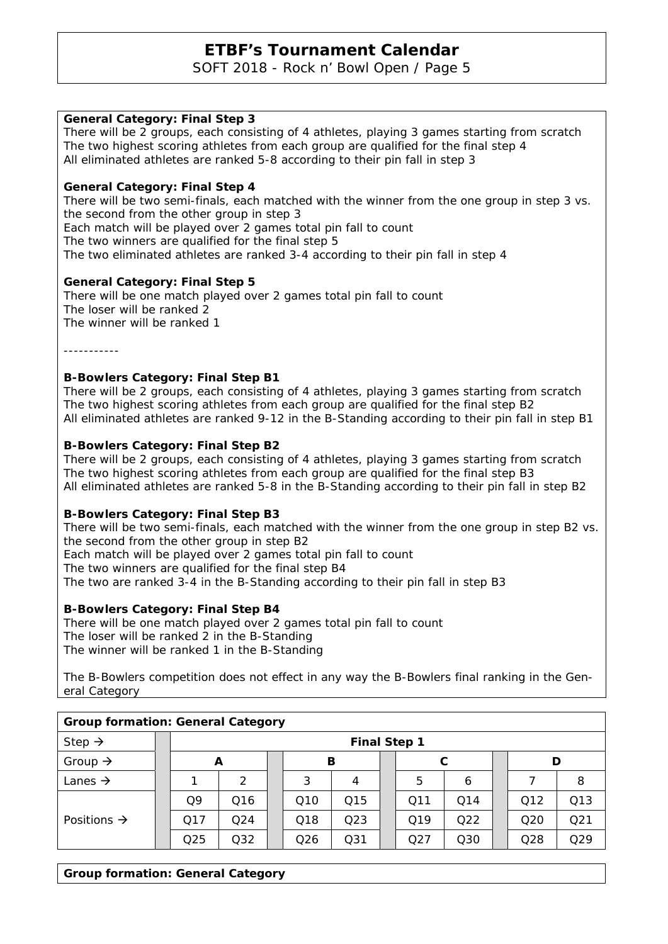SOFT 2018 - Rock n' Bowl Open / Page 5

## **General Category: Final Step 3**

There will be 2 groups, each consisting of 4 athletes, playing 3 games starting from scratch The two highest scoring athletes from each group are qualified for the final step 4 All eliminated athletes are ranked 5-8 according to their pin fall in step 3

### **General Category: Final Step 4**

There will be two semi-finals, each matched with the winner from the one group in step 3 vs. the second from the other group in step 3

Each match will be played over 2 games total pin fall to count

The two winners are qualified for the final step 5

The two eliminated athletes are ranked 3-4 according to their pin fall in step 4

## **General Category: Final Step 5**

There will be one match played over 2 games total pin fall to count The loser will be ranked 2 The winner will be ranked 1

-----------

## **B-Bowlers Category: Final Step B1**

There will be 2 groups, each consisting of 4 athletes, playing 3 games starting from scratch The two highest scoring athletes from each group are qualified for the final step B2 All eliminated athletes are ranked 9-12 in the B-Standing according to their pin fall in step B1

## **B-Bowlers Category: Final Step B2**

There will be 2 groups, each consisting of 4 athletes, playing 3 games starting from scratch The two highest scoring athletes from each group are qualified for the final step B3 All eliminated athletes are ranked 5-8 in the B-Standing according to their pin fall in step B2

#### **B-Bowlers Category: Final Step B3**

There will be two semi-finals, each matched with the winner from the one group in step B2 vs. the second from the other group in step B2 Each match will be played over 2 games total pin fall to count The two winners are qualified for the final step B4 The two are ranked 3-4 in the B-Standing according to their pin fall in step B3

#### **B-Bowlers Category: Final Step B4**

There will be one match played over 2 games total pin fall to count The loser will be ranked 2 in the B-Standing The winner will be ranked 1 in the B-Standing

The B-Bowlers competition does not effect in any way the B-Bowlers final ranking in the General Category

| <b>Group formation: General Category</b> |                     |                 |                 |  |                 |                 |  |     |     |  |                 |                 |
|------------------------------------------|---------------------|-----------------|-----------------|--|-----------------|-----------------|--|-----|-----|--|-----------------|-----------------|
| Step $\rightarrow$                       | <b>Final Step 1</b> |                 |                 |  |                 |                 |  |     |     |  |                 |                 |
| Group $\rightarrow$                      |                     |                 | В<br>D<br>A     |  |                 |                 |  |     |     |  |                 |                 |
| Lanes $\rightarrow$                      |                     |                 | $\mathcal{P}$   |  | 3               | 4               |  | 5   | 6   |  |                 | 8               |
|                                          |                     | Q9              | Q <sub>16</sub> |  | Q <sub>10</sub> | Q15             |  | Q11 | Q14 |  | Q12             | Q13             |
| Positions $\rightarrow$                  |                     | Q17             | Q <sub>24</sub> |  | Q18             | Q <sub>23</sub> |  | Q19 | Q22 |  | Q <sub>20</sub> | Q <sub>21</sub> |
|                                          |                     | Q <sub>25</sub> | Q32             |  | Q <sub>26</sub> | Q <sub>31</sub> |  | Q27 | Q30 |  | Q28             | Q29             |

#### **Group formation: General Category**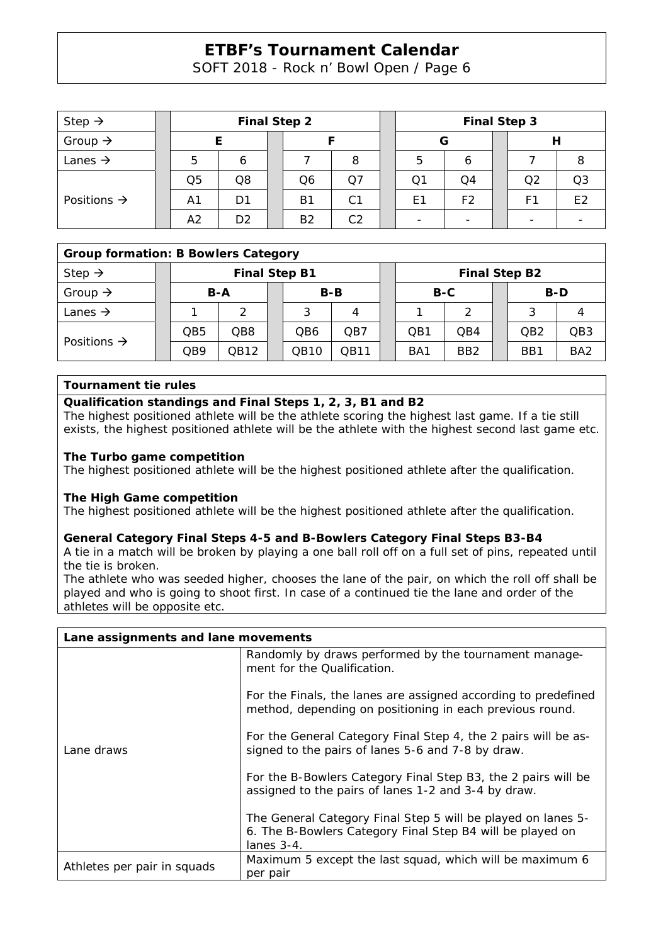SOFT 2018 - Rock n' Bowl Open / Page 6

| Step $\rightarrow$      | <b>Final Step 2</b> |                |  |                |                | <b>Final Step 3</b> |                |  |                |                |  |
|-------------------------|---------------------|----------------|--|----------------|----------------|---------------------|----------------|--|----------------|----------------|--|
| Group $\rightarrow$     |                     |                |  |                |                | G                   |                |  |                |                |  |
| Lanes $\rightarrow$     | 5                   | 6              |  |                | 8              | 5                   |                |  |                |                |  |
| Positions $\rightarrow$ | Q5                  | Q8             |  | Q6             | Ο7             | Q1                  | Q4             |  | Q <sub>2</sub> | Q <sub>3</sub> |  |
|                         | Α1                  | D1             |  | Β1             | C <sub>1</sub> | E <sub>1</sub>      | F <sub>2</sub> |  | F1             | E <sub>2</sub> |  |
|                         | A <sub>2</sub>      | D <sub>2</sub> |  | B <sub>2</sub> | C <sub>2</sub> |                     |                |  |                |                |  |

## **Group formation: B Bowlers Category**

| Step $\rightarrow$      |  | <b>Final Step B1</b> |      |  |       |      |  | <b>Final Step B2</b> |                 |  |                 |                 |
|-------------------------|--|----------------------|------|--|-------|------|--|----------------------|-----------------|--|-----------------|-----------------|
| Group $\rightarrow$     |  | B-A                  |      |  | $B-B$ |      |  | B-C                  |                 |  | B-D             |                 |
| Lanes $\rightarrow$     |  |                      | ⌒    |  |       |      |  |                      |                 |  |                 |                 |
| Positions $\rightarrow$ |  | QB5                  | QB8  |  | QB6   | QB7  |  | OB <sub>1</sub>      | OB4             |  | QB <sub>2</sub> | QB <sub>3</sub> |
|                         |  | QB9                  | QB12 |  | QB10  | QB11 |  | BA <sub>1</sub>      | BB <sub>2</sub> |  | BB1             | BA <sub>2</sub> |

#### **Tournament tie rules**

#### **Qualification standings and Final Steps 1, 2, 3, B1 and B2**

The highest positioned athlete will be the athlete scoring the highest last game. If a tie still exists, the highest positioned athlete will be the athlete with the highest second last game etc.

#### **The Turbo game competition**

The highest positioned athlete will be the highest positioned athlete after the qualification.

## **The High Game competition**

The highest positioned athlete will be the highest positioned athlete after the qualification.

## **General Category Final Steps 4-5 and B-Bowlers Category Final Steps B3-B4**

A tie in a match will be broken by playing a one ball roll off on a full set of pins, repeated until the tie is broken.

The athlete who was seeded higher, chooses the lane of the pair, on which the roll off shall be played and who is going to shoot first. In case of a continued tie the lane and order of the athletes will be opposite etc.

| Lane assignments and lane movements |                                                                                                                                            |  |  |  |  |  |
|-------------------------------------|--------------------------------------------------------------------------------------------------------------------------------------------|--|--|--|--|--|
|                                     | Randomly by draws performed by the tournament manage-<br>ment for the Qualification.                                                       |  |  |  |  |  |
|                                     | For the Finals, the lanes are assigned according to predefined<br>method, depending on positioning in each previous round.                 |  |  |  |  |  |
| Lane draws                          | For the General Category Final Step 4, the 2 pairs will be as-<br>signed to the pairs of lanes 5-6 and 7-8 by draw.                        |  |  |  |  |  |
|                                     | For the B-Bowlers Category Final Step B3, the 2 pairs will be<br>assigned to the pairs of lanes 1-2 and 3-4 by draw.                       |  |  |  |  |  |
|                                     | The General Category Final Step 5 will be played on lanes 5-<br>6. The B-Bowlers Category Final Step B4 will be played on<br>lanes $3-4$ . |  |  |  |  |  |
| Athletes per pair in squads         | Maximum 5 except the last squad, which will be maximum 6<br>per pair                                                                       |  |  |  |  |  |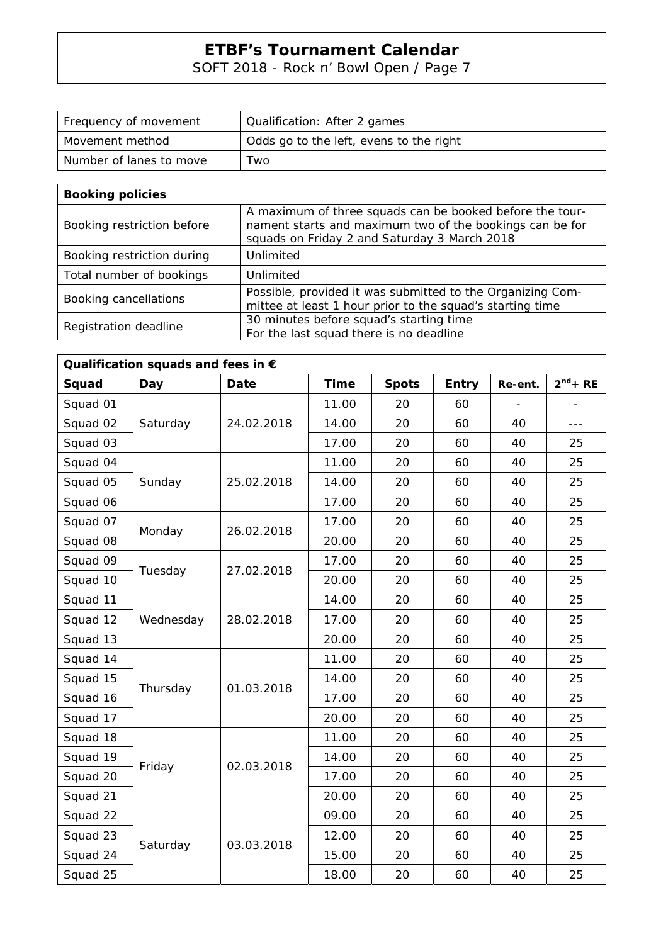SOFT 2018 - Rock n' Bowl Open / Page 7

| Frequency of movement     | Qualification: After 2 games            |
|---------------------------|-----------------------------------------|
| l Movement method         | Odds go to the left, evens to the right |
| l Number of lanes to move | Two                                     |

| <b>Booking policies</b>    |                                                                                                                                                                      |
|----------------------------|----------------------------------------------------------------------------------------------------------------------------------------------------------------------|
| Booking restriction before | A maximum of three squads can be booked before the tour-<br>nament starts and maximum two of the bookings can be for<br>squads on Friday 2 and Saturday 3 March 2018 |
| Booking restriction during | Unlimited                                                                                                                                                            |
| Total number of bookings   | Unlimited                                                                                                                                                            |
| Booking cancellations      | Possible, provided it was submitted to the Organizing Com-<br>mittee at least 1 hour prior to the squad's starting time                                              |
| Registration deadline      | 30 minutes before squad's starting time<br>For the last squad there is no deadline                                                                                   |

| Qualification squads and fees in $\epsilon$ |           |             |             |              |              |         |               |  |  |  |  |
|---------------------------------------------|-----------|-------------|-------------|--------------|--------------|---------|---------------|--|--|--|--|
| Squad                                       | Day       | <b>Date</b> | <b>Time</b> | <b>Spots</b> | <b>Entry</b> | Re-ent. | $2^{nd}$ + RE |  |  |  |  |
| Squad 01                                    |           |             | 11.00       | 20           | 60           |         |               |  |  |  |  |
| Squad 02                                    | Saturday  | 24.02.2018  | 14.00       | 20           | 60           | 40      | $- - -$       |  |  |  |  |
| Squad 03                                    |           |             | 17.00       | 20           | 60           | 40      | 25            |  |  |  |  |
| Squad 04                                    |           |             | 11.00       | 20           | 60           | 40      | 25            |  |  |  |  |
| Squad 05                                    | Sunday    | 25.02.2018  | 14.00       | 20           | 60           | 40      | 25            |  |  |  |  |
| Squad 06                                    |           |             | 17.00       | 20           | 60           | 40      | 25            |  |  |  |  |
| Squad 07                                    |           | 26.02.2018  | 17.00       | 20           | 60           | 40      | 25            |  |  |  |  |
| Squad 08                                    | Monday    |             | 20.00       | 20           | 60           | 40      | 25            |  |  |  |  |
| Squad 09                                    |           |             | 17.00       | 20           | 60           | 40      | 25            |  |  |  |  |
| Squad 10                                    | Tuesday   | 27.02.2018  | 20.00       | 20           | 60           | 40      | 25            |  |  |  |  |
| Squad 11                                    |           | 28.02.2018  | 14.00       | 20           | 60           | 40      | 25            |  |  |  |  |
| Squad 12                                    | Wednesday |             | 17.00       | 20           | 60           | 40      | 25            |  |  |  |  |
| Squad 13                                    |           |             | 20.00       | 20           | 60           | 40      | 25            |  |  |  |  |
| Squad 14                                    |           | 01.03.2018  | 11.00       | 20           | 60           | 40      | 25            |  |  |  |  |
| Squad 15                                    |           |             | 14.00       | 20           | 60           | 40      | 25            |  |  |  |  |
| Squad 16                                    | Thursday  |             | 17.00       | 20           | 60           | 40      | 25            |  |  |  |  |
| Squad 17                                    |           |             | 20.00       | 20           | 60           | 40      | 25            |  |  |  |  |
| Squad 18                                    |           |             | 11.00       | 20           | 60           | 40      | 25            |  |  |  |  |
| Squad 19                                    |           | 02.03.2018  | 14.00       | 20           | 60           | 40      | 25            |  |  |  |  |
| Squad 20                                    | Friday    |             | 17.00       | 20           | 60           | 40      | 25            |  |  |  |  |
| Squad 21                                    |           |             | 20.00       | 20           | 60           | 40      | 25            |  |  |  |  |
| Squad 22                                    |           |             | 09.00       | 20           | 60           | 40      | 25            |  |  |  |  |
| Squad 23                                    |           |             | 12.00       | 20           | 60           | 40      | 25            |  |  |  |  |
| Squad 24                                    | Saturday  | 03.03.2018  | 15.00       | 20           | 60           | 40      | 25            |  |  |  |  |
| Squad 25                                    |           |             | 18.00       | 20           | 60           | 40      | 25            |  |  |  |  |